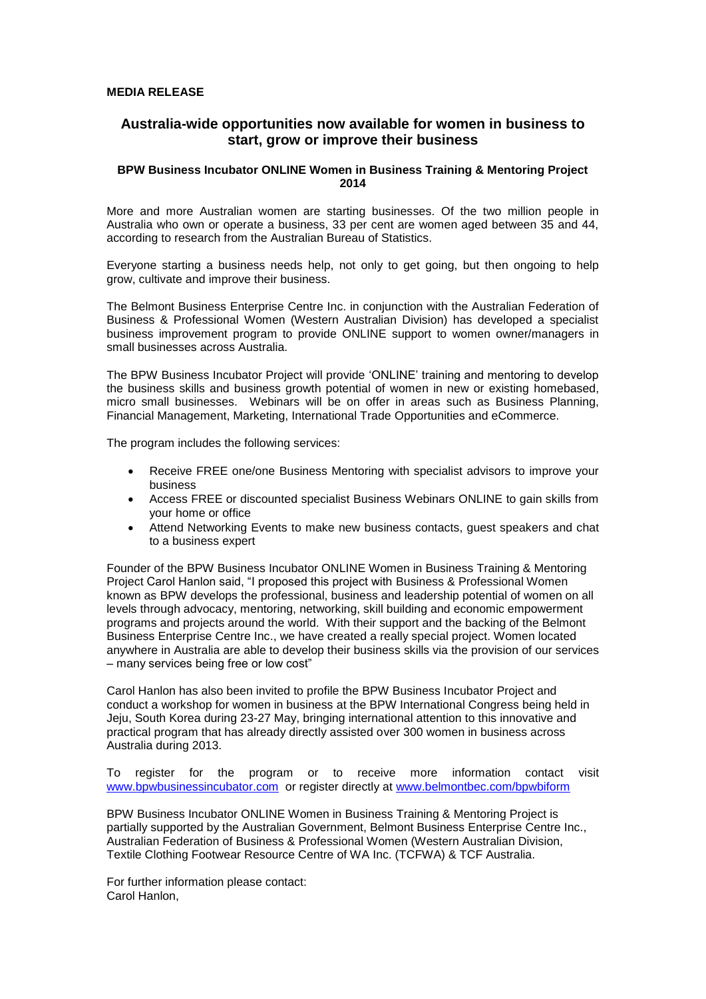## **Australia-wide opportunities now available for women in business to start, grow or improve their business**

## **BPW Business Incubator ONLINE Women in Business Training & Mentoring Project 2014**

More and more Australian women are starting businesses. Of the two million people in Australia who own or operate a business, 33 per cent are women aged between 35 and 44, according to research from the Australian Bureau of Statistics.

Everyone starting a business needs help, not only to get going, but then ongoing to help grow, cultivate and improve their business.

The Belmont Business Enterprise Centre Inc. in conjunction with the Australian Federation of Business & Professional Women (Western Australian Division) has developed a specialist business improvement program to provide ONLINE support to women owner/managers in small businesses across Australia.

The BPW Business Incubator Project will provide 'ONLINE' training and mentoring to develop the business skills and business growth potential of women in new or existing homebased, micro small businesses. Webinars will be on offer in areas such as Business Planning, Financial Management, Marketing, International Trade Opportunities and eCommerce.

The program includes the following services:

- Receive FREE one/one Business Mentoring with specialist advisors to improve your business
- Access FREE or discounted specialist Business Webinars ONLINE to gain skills from your home or office
- Attend Networking Events to make new business contacts, guest speakers and chat to a business expert

Founder of the BPW Business Incubator ONLINE Women in Business Training & Mentoring Project Carol Hanlon said, "I proposed this project with Business & Professional Women known as BPW develops the professional, business and leadership potential of women on all levels through advocacy, mentoring, networking, skill building and economic empowerment programs and projects around the world. With their support and the backing of the Belmont Business Enterprise Centre Inc., we have created a really special project. Women located anywhere in Australia are able to develop their business skills via the provision of our services – many services being free or low cost"

Carol Hanlon has also been invited to profile the BPW Business Incubator Project and conduct a workshop for women in business at the BPW International Congress being held in Jeju, South Korea during 23-27 May, bringing international attention to this innovative and practical program that has already directly assisted over 300 women in business across Australia during 2013.

To register for the program or to receive more information contact visit [www.bpwbusinessincubator.com](http://www.bpwbusinessincubator.com/) or register directly at [www.belmontbec.com/bpwbiform](http://www.belmontbec.com/bpwbiform)

BPW Business Incubator ONLINE Women in Business Training & Mentoring Project is partially supported by the Australian Government, Belmont Business Enterprise Centre Inc., Australian Federation of Business & Professional Women (Western Australian Division, Textile Clothing Footwear Resource Centre of WA Inc. (TCFWA) & TCF Australia.

For further information please contact: Carol Hanlon,